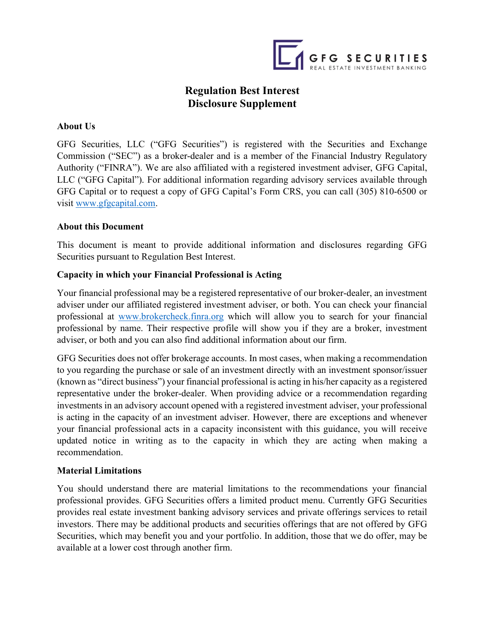

# Regulation Best Interest Disclosure Supplement

### About Us

GFG Securities, LLC ("GFG Securities") is registered with the Securities and Exchange Commission ("SEC") as a broker-dealer and is a member of the Financial Industry Regulatory Authority ("FINRA"). We are also affiliated with a registered investment adviser, GFG Capital, LLC ("GFG Capital"). For additional information regarding advisory services available through GFG Capital or to request a copy of GFG Capital's Form CRS, you can call (305) 810-6500 or visit www.gfgcapital.com.

#### About this Document

This document is meant to provide additional information and disclosures regarding GFG Securities pursuant to Regulation Best Interest.

#### Capacity in which your Financial Professional is Acting

Your financial professional may be a registered representative of our broker-dealer, an investment adviser under our affiliated registered investment adviser, or both. You can check your financial professional at www.brokercheck.finra.org which will allow you to search for your financial professional by name. Their respective profile will show you if they are a broker, investment adviser, or both and you can also find additional information about our firm.

GFG Securities does not offer brokerage accounts. In most cases, when making a recommendation to you regarding the purchase or sale of an investment directly with an investment sponsor/issuer (known as "direct business") your financial professional is acting in his/her capacity as a registered representative under the broker-dealer. When providing advice or a recommendation regarding investments in an advisory account opened with a registered investment adviser, your professional is acting in the capacity of an investment adviser. However, there are exceptions and whenever your financial professional acts in a capacity inconsistent with this guidance, you will receive updated notice in writing as to the capacity in which they are acting when making a recommendation.

#### Material Limitations

You should understand there are material limitations to the recommendations your financial professional provides. GFG Securities offers a limited product menu. Currently GFG Securities provides real estate investment banking advisory services and private offerings services to retail investors. There may be additional products and securities offerings that are not offered by GFG Securities, which may benefit you and your portfolio. In addition, those that we do offer, may be available at a lower cost through another firm.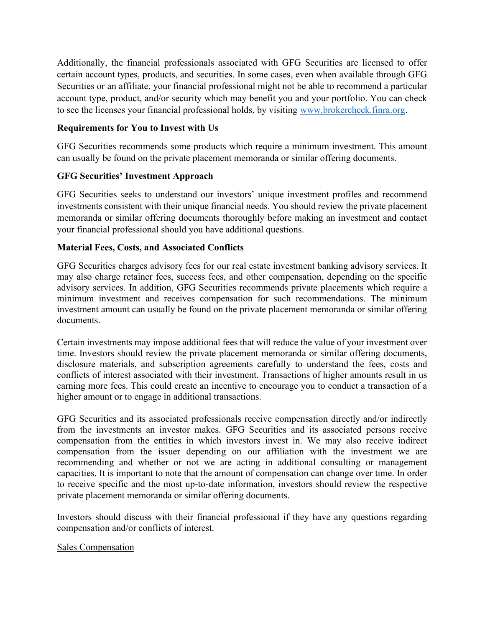Additionally, the financial professionals associated with GFG Securities are licensed to offer certain account types, products, and securities. In some cases, even when available through GFG Securities or an affiliate, your financial professional might not be able to recommend a particular account type, product, and/or security which may benefit you and your portfolio. You can check to see the licenses your financial professional holds, by visiting www.brokercheck.finra.org.

# Requirements for You to Invest with Us

GFG Securities recommends some products which require a minimum investment. This amount can usually be found on the private placement memoranda or similar offering documents.

# GFG Securities' Investment Approach

GFG Securities seeks to understand our investors' unique investment profiles and recommend investments consistent with their unique financial needs. You should review the private placement memoranda or similar offering documents thoroughly before making an investment and contact your financial professional should you have additional questions.

# Material Fees, Costs, and Associated Conflicts

GFG Securities charges advisory fees for our real estate investment banking advisory services. It may also charge retainer fees, success fees, and other compensation, depending on the specific advisory services. In addition, GFG Securities recommends private placements which require a minimum investment and receives compensation for such recommendations. The minimum investment amount can usually be found on the private placement memoranda or similar offering documents.

Certain investments may impose additional fees that will reduce the value of your investment over time. Investors should review the private placement memoranda or similar offering documents, disclosure materials, and subscription agreements carefully to understand the fees, costs and conflicts of interest associated with their investment. Transactions of higher amounts result in us earning more fees. This could create an incentive to encourage you to conduct a transaction of a higher amount or to engage in additional transactions.

GFG Securities and its associated professionals receive compensation directly and/or indirectly from the investments an investor makes. GFG Securities and its associated persons receive compensation from the entities in which investors invest in. We may also receive indirect compensation from the issuer depending on our affiliation with the investment we are recommending and whether or not we are acting in additional consulting or management capacities. It is important to note that the amount of compensation can change over time. In order to receive specific and the most up-to-date information, investors should review the respective private placement memoranda or similar offering documents.

Investors should discuss with their financial professional if they have any questions regarding compensation and/or conflicts of interest.

## Sales Compensation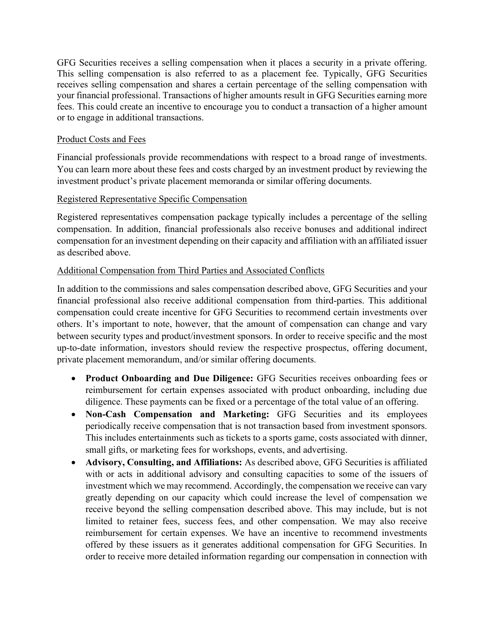GFG Securities receives a selling compensation when it places a security in a private offering. This selling compensation is also referred to as a placement fee. Typically, GFG Securities receives selling compensation and shares a certain percentage of the selling compensation with your financial professional. Transactions of higher amounts result in GFG Securities earning more fees. This could create an incentive to encourage you to conduct a transaction of a higher amount or to engage in additional transactions.

### Product Costs and Fees

Financial professionals provide recommendations with respect to a broad range of investments. You can learn more about these fees and costs charged by an investment product by reviewing the investment product's private placement memoranda or similar offering documents.

## Registered Representative Specific Compensation

Registered representatives compensation package typically includes a percentage of the selling compensation. In addition, financial professionals also receive bonuses and additional indirect compensation for an investment depending on their capacity and affiliation with an affiliated issuer as described above.

## Additional Compensation from Third Parties and Associated Conflicts

In addition to the commissions and sales compensation described above, GFG Securities and your financial professional also receive additional compensation from third-parties. This additional compensation could create incentive for GFG Securities to recommend certain investments over others. It's important to note, however, that the amount of compensation can change and vary between security types and product/investment sponsors. In order to receive specific and the most up-to-date information, investors should review the respective prospectus, offering document, private placement memorandum, and/or similar offering documents.

- Product Onboarding and Due Diligence: GFG Securities receives onboarding fees or reimbursement for certain expenses associated with product onboarding, including due diligence. These payments can be fixed or a percentage of the total value of an offering.
- Non-Cash Compensation and Marketing: GFG Securities and its employees periodically receive compensation that is not transaction based from investment sponsors. This includes entertainments such as tickets to a sports game, costs associated with dinner, small gifts, or marketing fees for workshops, events, and advertising.
- Advisory, Consulting, and Affiliations: As described above, GFG Securities is affiliated with or acts in additional advisory and consulting capacities to some of the issuers of investment which we may recommend. Accordingly, the compensation we receive can vary greatly depending on our capacity which could increase the level of compensation we receive beyond the selling compensation described above. This may include, but is not limited to retainer fees, success fees, and other compensation. We may also receive reimbursement for certain expenses. We have an incentive to recommend investments offered by these issuers as it generates additional compensation for GFG Securities. In order to receive more detailed information regarding our compensation in connection with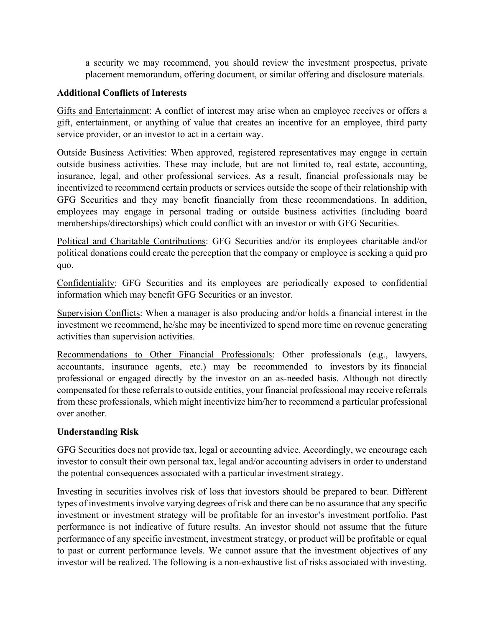a security we may recommend, you should review the investment prospectus, private placement memorandum, offering document, or similar offering and disclosure materials.

### Additional Conflicts of Interests

Gifts and Entertainment: A conflict of interest may arise when an employee receives or offers a gift, entertainment, or anything of value that creates an incentive for an employee, third party service provider, or an investor to act in a certain way.

Outside Business Activities: When approved, registered representatives may engage in certain outside business activities. These may include, but are not limited to, real estate, accounting, insurance, legal, and other professional services. As a result, financial professionals may be incentivized to recommend certain products or services outside the scope of their relationship with GFG Securities and they may benefit financially from these recommendations. In addition, employees may engage in personal trading or outside business activities (including board memberships/directorships) which could conflict with an investor or with GFG Securities.

Political and Charitable Contributions: GFG Securities and/or its employees charitable and/or political donations could create the perception that the company or employee is seeking a quid pro quo.

Confidentiality: GFG Securities and its employees are periodically exposed to confidential information which may benefit GFG Securities or an investor.

Supervision Conflicts: When a manager is also producing and/or holds a financial interest in the investment we recommend, he/she may be incentivized to spend more time on revenue generating activities than supervision activities.

Recommendations to Other Financial Professionals: Other professionals (e.g., lawyers, accountants, insurance agents, etc.) may be recommended to investors by its financial professional or engaged directly by the investor on an as-needed basis. Although not directly compensated for these referrals to outside entities, your financial professional may receive referrals from these professionals, which might incentivize him/her to recommend a particular professional over another.

## Understanding Risk

GFG Securities does not provide tax, legal or accounting advice. Accordingly, we encourage each investor to consult their own personal tax, legal and/or accounting advisers in order to understand the potential consequences associated with a particular investment strategy.

Investing in securities involves risk of loss that investors should be prepared to bear. Different types of investments involve varying degrees of risk and there can be no assurance that any specific investment or investment strategy will be profitable for an investor's investment portfolio. Past performance is not indicative of future results. An investor should not assume that the future performance of any specific investment, investment strategy, or product will be profitable or equal to past or current performance levels. We cannot assure that the investment objectives of any investor will be realized. The following is a non-exhaustive list of risks associated with investing.